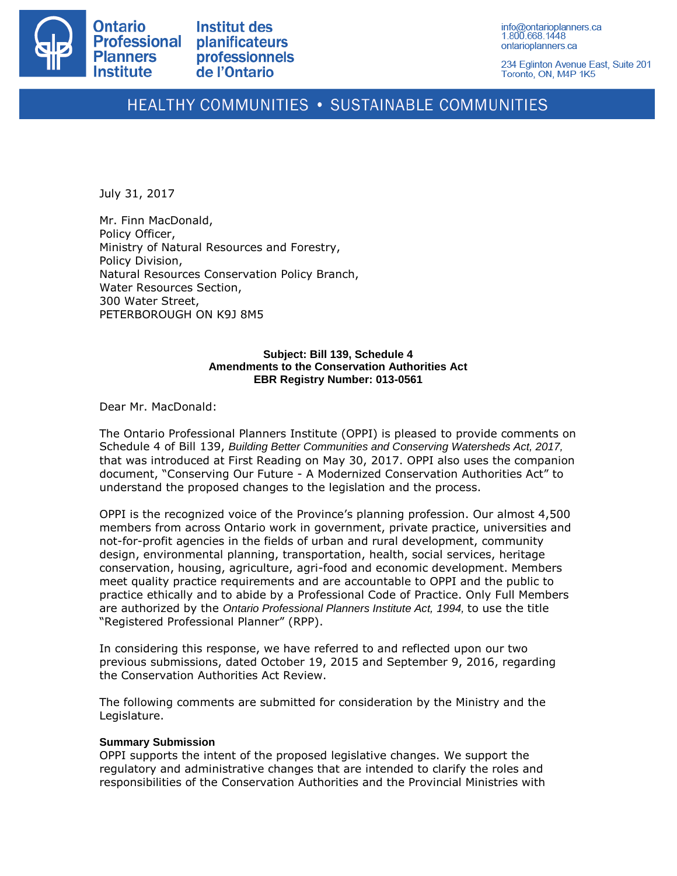

234 Eglinton Avenue East, Suite 201 Toronto, ON, M4P 1K5

# HEALTHY COMMUNITIES . SUSTAINABLE COMMUNITIES

July 31, 2017

Mr. Finn MacDonald, Policy Officer, Ministry of Natural Resources and Forestry, Policy Division, Natural Resources Conservation Policy Branch, Water Resources Section, 300 Water Street, PETERBOROUGH ON K9J 8M5

#### **Subject: Bill 139, Schedule 4 Amendments to the Conservation Authorities Act EBR Registry Number: 013-0561**

Dear Mr. MacDonald:

The Ontario Professional Planners Institute (OPPI) is pleased to provide comments on Schedule 4 of Bill 139, *Building Better Communities and Conserving Watersheds Act, 2017,*  that was introduced at First Reading on May 30, 2017. OPPI also uses the companion document, "Conserving Our Future - A Modernized Conservation Authorities Act" to understand the proposed changes to the legislation and the process.

OPPI is the recognized voice of the Province's planning profession. Our almost 4,500 members from across Ontario work in government, private practice, universities and not-for-profit agencies in the fields of urban and rural development, community design, environmental planning, transportation, health, social services, heritage conservation, housing, agriculture, agri-food and economic development. Members meet quality practice requirements and are accountable to OPPI and the public to practice ethically and to abide by a Professional Code of Practice. Only Full Members are authorized by the *Ontario Professional Planners Institute Act, 1994,* to use the title "Registered Professional Planner" (RPP).

In considering this response, we have referred to and reflected upon our two previous submissions, dated October 19, 2015 and September 9, 2016, regarding the Conservation Authorities Act Review.

The following comments are submitted for consideration by the Ministry and the Legislature.

#### **Summary Submission**

OPPI supports the intent of the proposed legislative changes. We support the regulatory and administrative changes that are intended to clarify the roles and responsibilities of the Conservation Authorities and the Provincial Ministries with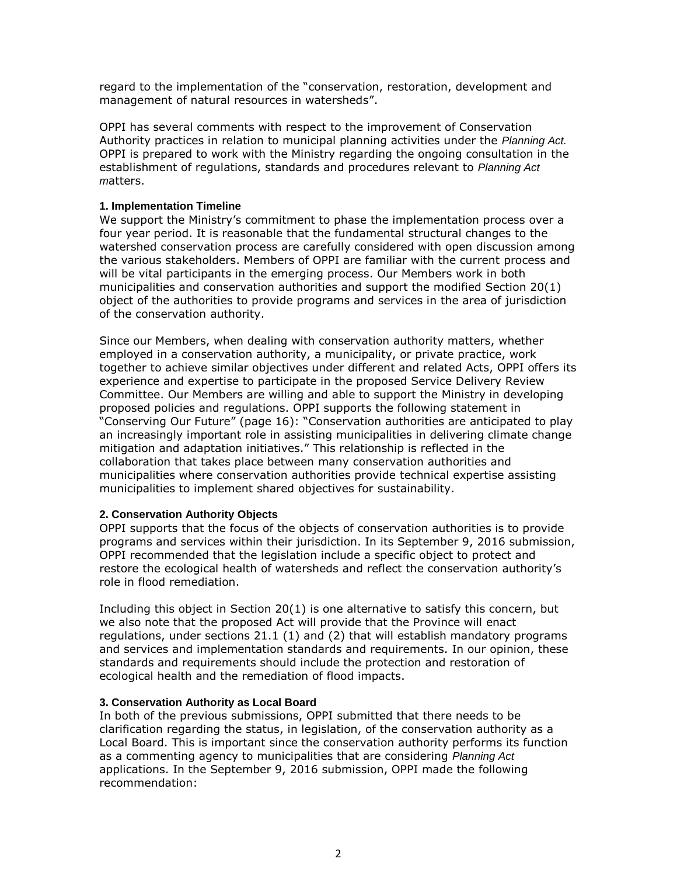regard to the implementation of the "conservation, restoration, development and management of natural resources in watersheds".

OPPI has several comments with respect to the improvement of Conservation Authority practices in relation to municipal planning activities under the *Planning Act.*  OPPI is prepared to work with the Ministry regarding the ongoing consultation in the establishment of regulations, standards and procedures relevant to *Planning Act m*atters.

## **1. Implementation Timeline**

We support the Ministry's commitment to phase the implementation process over a four year period. It is reasonable that the fundamental structural changes to the watershed conservation process are carefully considered with open discussion among the various stakeholders. Members of OPPI are familiar with the current process and will be vital participants in the emerging process. Our Members work in both municipalities and conservation authorities and support the modified Section 20(1) object of the authorities to provide programs and services in the area of jurisdiction of the conservation authority.

Since our Members, when dealing with conservation authority matters, whether employed in a conservation authority, a municipality, or private practice, work together to achieve similar objectives under different and related Acts, OPPI offers its experience and expertise to participate in the proposed Service Delivery Review Committee. Our Members are willing and able to support the Ministry in developing proposed policies and regulations. OPPI supports the following statement in "Conserving Our Future" (page 16): "Conservation authorities are anticipated to play an increasingly important role in assisting municipalities in delivering climate change mitigation and adaptation initiatives." This relationship is reflected in the collaboration that takes place between many conservation authorities and municipalities where conservation authorities provide technical expertise assisting municipalities to implement shared objectives for sustainability.

## **2. Conservation Authority Objects**

OPPI supports that the focus of the objects of conservation authorities is to provide programs and services within their jurisdiction. In its September 9, 2016 submission, OPPI recommended that the legislation include a specific object to protect and restore the ecological health of watersheds and reflect the conservation authority's role in flood remediation.

Including this object in Section 20(1) is one alternative to satisfy this concern, but we also note that the proposed Act will provide that the Province will enact regulations, under sections 21.1 (1) and (2) that will establish mandatory programs and services and implementation standards and requirements. In our opinion, these standards and requirements should include the protection and restoration of ecological health and the remediation of flood impacts.

## **3. Conservation Authority as Local Board**

In both of the previous submissions, OPPI submitted that there needs to be clarification regarding the status, in legislation, of the conservation authority as a Local Board. This is important since the conservation authority performs its function as a commenting agency to municipalities that are considering *Planning Act*  applications. In the September 9, 2016 submission, OPPI made the following recommendation: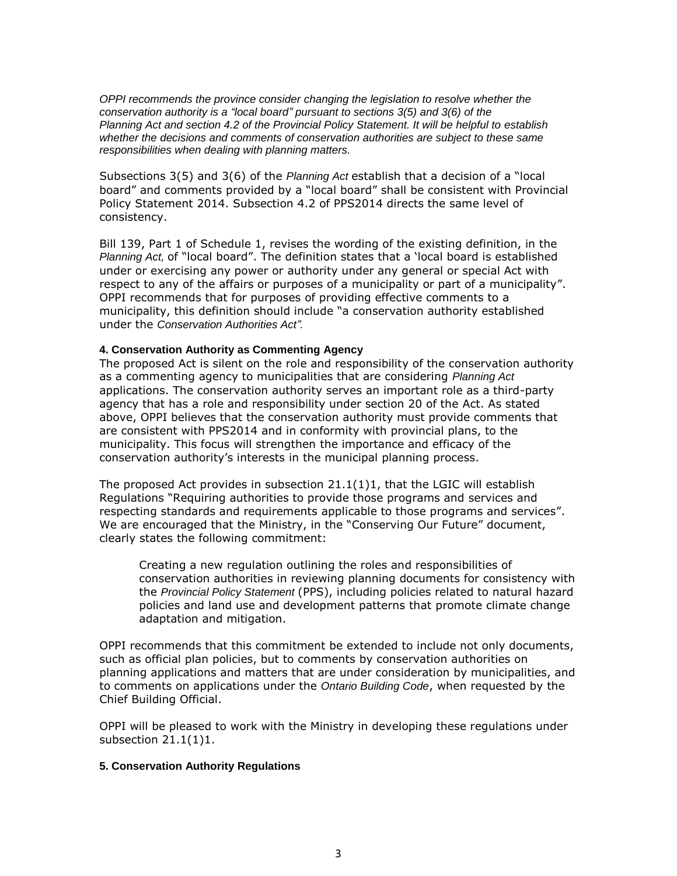*OPPI recommends the province consider changing the legislation to resolve whether the conservation authority is a "local board" pursuant to sections 3(5) and 3(6) of the Planning Act and section 4.2 of the Provincial Policy Statement. It will be helpful to establish whether the decisions and comments of conservation authorities are subject to these same responsibilities when dealing with planning matters.*

Subsections 3(5) and 3(6) of the *Planning Act* establish that a decision of a "local board" and comments provided by a "local board" shall be consistent with Provincial Policy Statement 2014. Subsection 4.2 of PPS2014 directs the same level of consistency.

Bill 139, Part 1 of Schedule 1, revises the wording of the existing definition, in the *Planning Act,* of "local board". The definition states that a 'local board is established under or exercising any power or authority under any general or special Act with respect to any of the affairs or purposes of a municipality or part of a municipality". OPPI recommends that for purposes of providing effective comments to a municipality, this definition should include "a conservation authority established under the *Conservation Authorities Act".*

### **4. Conservation Authority as Commenting Agency**

The proposed Act is silent on the role and responsibility of the conservation authority as a commenting agency to municipalities that are considering *Planning Act*  applications. The conservation authority serves an important role as a third-party agency that has a role and responsibility under section 20 of the Act. As stated above, OPPI believes that the conservation authority must provide comments that are consistent with PPS2014 and in conformity with provincial plans, to the municipality. This focus will strengthen the importance and efficacy of the conservation authority's interests in the municipal planning process.

The proposed Act provides in subsection  $21.1(1)1$ , that the LGIC will establish Regulations "Requiring authorities to provide those programs and services and respecting standards and requirements applicable to those programs and services". We are encouraged that the Ministry, in the "Conserving Our Future" document, clearly states the following commitment:

Creating a new regulation outlining the roles and responsibilities of conservation authorities in reviewing planning documents for consistency with the *Provincial Policy Statement* (PPS), including policies related to natural hazard policies and land use and development patterns that promote climate change adaptation and mitigation.

OPPI recommends that this commitment be extended to include not only documents, such as official plan policies, but to comments by conservation authorities on planning applications and matters that are under consideration by municipalities, and to comments on applications under the *Ontario Building Code*, when requested by the Chief Building Official.

OPPI will be pleased to work with the Ministry in developing these regulations under subsection 21.1(1)1.

#### **5. Conservation Authority Regulations**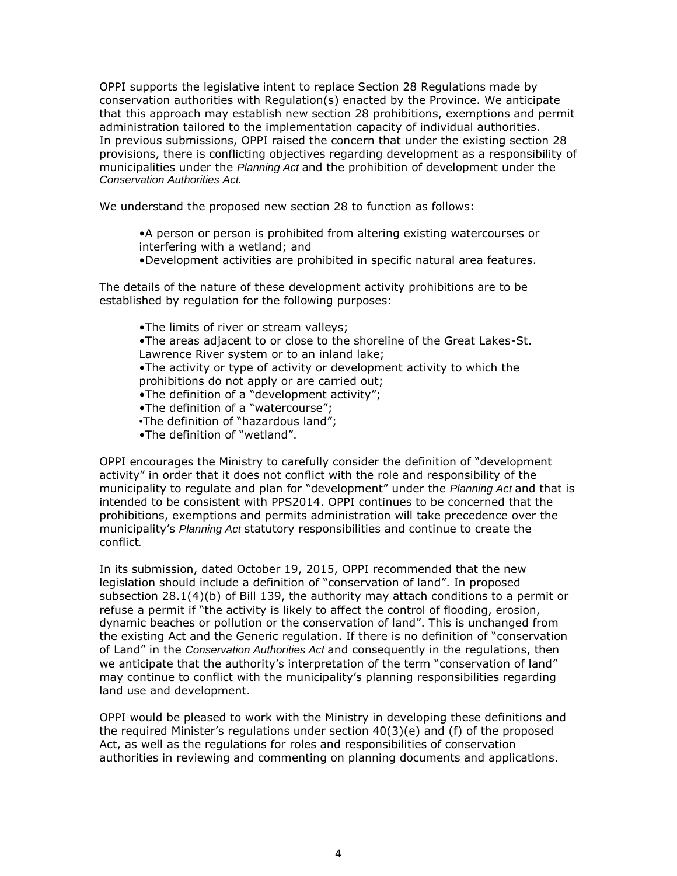OPPI supports the legislative intent to replace Section 28 Regulations made by conservation authorities with Regulation(s) enacted by the Province. We anticipate that this approach may establish new section 28 prohibitions, exemptions and permit administration tailored to the implementation capacity of individual authorities. In previous submissions, OPPI raised the concern that under the existing section 28 provisions, there is conflicting objectives regarding development as a responsibility of municipalities under the *Planning Act* and the prohibition of development under the *Conservation Authorities Act.*

We understand the proposed new section 28 to function as follows:

•A person or person is prohibited from altering existing watercourses or interfering with a wetland; and

•Development activities are prohibited in specific natural area features.

The details of the nature of these development activity prohibitions are to be established by regulation for the following purposes:

•The limits of river or stream valleys; •The areas adjacent to or close to the shoreline of the Great Lakes-St. Lawrence River system or to an inland lake; •The activity or type of activity or development activity to which the prohibitions do not apply or are carried out; •The definition of a "development activity"; •The definition of a "watercourse"; *•*The definition of "hazardous land";

•The definition of "wetland".

OPPI encourages the Ministry to carefully consider the definition of "development activity" in order that it does not conflict with the role and responsibility of the municipality to regulate and plan for "development" under the *Planning Act* and that is intended to be consistent with PPS2014. OPPI continues to be concerned that the prohibitions, exemptions and permits administration will take precedence over the municipality's *Planning Act* statutory responsibilities and continue to create the conflict*.*

In its submission, dated October 19, 2015, OPPI recommended that the new legislation should include a definition of "conservation of land". In proposed subsection 28.1(4)(b) of Bill 139, the authority may attach conditions to a permit or refuse a permit if "the activity is likely to affect the control of flooding, erosion, dynamic beaches or pollution or the conservation of land". This is unchanged from the existing Act and the Generic regulation. If there is no definition of "conservation of Land" in the *Conservation Authorities Act* and consequently in the regulations, then we anticipate that the authority's interpretation of the term "conservation of land" may continue to conflict with the municipality's planning responsibilities regarding land use and development.

OPPI would be pleased to work with the Ministry in developing these definitions and the required Minister's regulations under section 40(3)(e) and (f) of the proposed Act, as well as the regulations for roles and responsibilities of conservation authorities in reviewing and commenting on planning documents and applications.